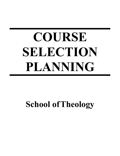# **COURSE SELECTION PLANNING**

# **School ofTheology**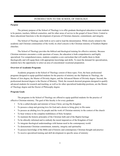# INTRODUCTION TO THE SCHOOL OF THEOLOGY

#### **Purpose**

The primary purpose of the School of Theology is to offer graduate theological education to train students to be pastors, teachers, biblical counselors, and for other areas of service to the gospel of Jesus Christ. Central to these educational functions is the development of persons of Christian character, commitment, and integrity.

The School of Theology seeks both to serve and to lead the denomination. While closely related to the academic and Christian communities of the world, its chief concern is the Christian ministry of Southern Baptist churches.

The School of Theology provides the biblical and theological training for effective ministry. Because Christian ministers encounter a wide spectrum of issues, the education is both comprehensive and highly specialized. For comprehensiveness, students complete a core curriculum that will enable them to think theologically and will equip them with appropriate knowledge and skills. To meet the demand for specialization, students have the opportunity to select an area of concentrated vocational preparation.

#### **Overview of Academic Programs**

Academic programs in the School of Theology consist of three types. First, the basic professional programs designed to equip qualified students for the practice of ministry are the Diploma in Theology, the Master of Arts degree, the Master of Divinity degree, and the Advanced Master of Divinity degree. Second, the professional doctoral degree is the Doctor of Ministry. Third, the research doctoral programs designed to qualify advanced students for research and teaching, as well as for other specialized leadership positions, are the Master of Theology degree and the Doctor of Philosophy degree.

#### **Program Goals**

The programs in the School of Theology are offered to equip qualified students for the practice of effective Christian ministry. The goal of this faculty is for every graduate:

- To be a called disciple and minister of Jesus Christ, serving His Kingdom
- To possess a deep and growing love for God and a desire to bring glory to His name
- To possess an abiding love for people and the work of Christian ministry in the context of the church
- To bear witness to the complete truthfulness of Holy Scripture
- To maintain the historic principles of the Christian faith and of the Baptist heritage
- To be ethically informed and to embody the moral imperatives of the Kingdom of God
- To integrate theological understandings with human need in the contemporary world
- To demonstrate Christian commitment, maturity, integrity and spirituality
- To possess knowledge of the Bible and of historic and contemporary Christian thought and practice
- To receive specialized training and skill development in specific areas of ministry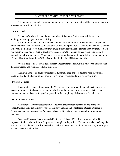## MASTER OF DIVINITY – SCHOOL OF THEOLOGY

This document is intended to guide in planning a course of study in the M.Div. program, and can be consulted prior to registration.

#### **Course Load**

The pace of study will depend upon a number of factors -- family responsibilities, church ministry, hours employed, academic ability.

Minimum load – For full-time students, 9 hours or the minimum. Recommended for persons employed more than 25 hours weekly, studying on academic probation, or with below average academic achievement. Falling below nine hours may cause difficulties with scholarships, loan programs, student visa requirements, etc. Be sure to check with the appropriate seminary offices when considering a course load below nine hours. (\*Note: Any on-campus student currently enrolled in 8 hours including "Personal Spiritual Disciplines" (40150) **may be** eligible for SBTS financial aid)

Average load -- 10-14 hours per semester. Recommended for students employed no more than 25 hours weekly and with no academic struggles.

Maximum load -- 18 hours per semester. Recommended only for persons with exceptional academic ability who have minimal pressures with employment and family responsibilities.

#### **Types of Courses**

There are three types of courses in the M.Div. program: required, divisional electives, and free electives. Most required courses are taught only during the fall and spring semesters. Winter and summer short-term classes offer good opportunities for completing divisional and free electives.

#### **M.Div. Concentrations**

All Master of Divinity students must follow the program requirements of one of the five concentrations: Christian Ministry, Pastoral Ministry, Biblical and Theological Studies, Ethics and Philosophy, and Apologetics. The Advanced Master of Divinity program is available for qualified students.

**Program Progress Forms** are available for each School of Theology program and M.Div. emphasis. Students should follow the program or emphasis they select. If a student wishes to change the M.Div. track, Academic Records must be informed, and the student should obtain the Program Progress Form of the new track online.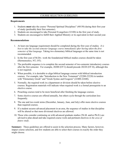# COURSE SELECTION GUIDELINES

# **Requirements**

- 1. Students **must** take the course "Personal Spiritual Disciplines" (40150) during their first year of study (preferably their first semester).
- 2. Students are encouraged to take Personal Evangelism (32100) in the first year of study.
- 3. Students are encouraged to fulfill their Applied Ministry or its equivalent in their second year.

# **Recommendations**

- 1. At least one language requirement should be completed during the first year of studies*. It is best to take the second semester language course immediately after having taken the first semester of that language.* Taking two elementary biblical languages at the same time is not recommended.
- 2. In the first year of M.Div. work the foundational biblical studies courses should be taken (Hermeneutics, NT, OT).
- 3. The preferable sequence is to complete the second semester of two-semester introductory courses after the first semester. For example, 20200 (OT I) should precede 20220 (OT II), although this is not required.
- 4. When possible, it is desirable to align biblical language courses with biblical introduction courses. For example, take "Introduction to the New Testament" (22200-22220) in tandem with "Elementary Greek" and "Greek Syntax and Exegesis" (22400-22440).
- 5. Normally, the required work in a department or division should be taken before elective courses. Registration materials will indicate when required work is a formal prerequisite to an elective course.
- 6. Preaching courses tend to be more beneficial after finishing the language courses.
- 7. Some elective courses are offered annually, but others cycle through the curriculum less frequently.
- 8. The one and two-week terms (December, January, June, and July) offer more elective courses than required courses.
- 9. If a student secures advanced placement in an area, the sequence of studies in that discipline will be altered so that more divisional electives are allowed.
- 10. Those who consider continuing on with advanced graduate studies (Th.M. and/or Ph.D.) are advised to plan ahead and take required course work and pertinent electives *in the area of future study*.

**Summary**: These guidelines are offered to assist in the selection process. Many factors, however, impact course selection, and few students are able to select their courses in exactly the order they might choose.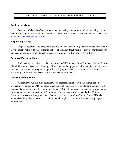# ADDITIONAL INFORMATION FOR MASTERS LEVEL STUDENTS

#### **Academic Advising**

Academic advising is offered for new students during orientation. Academic advising is also available during the year. Students may contact the Center for Student Success at (502) 897-4680 or by e-mail at academicadvising@sbts.edu.

#### **Shepherding Groups**

Shepherding groups are designed to provide students with small group mentorship from faculty as well as fellowship with other students. School of Theology faculty serve to provide spiritual support and pastoral oversight for all students in the degree programs of the School of Theology.

#### **Advanced Placement Exams**

Students may take advanced placement tests in Old Testament, New Testament, Greek, Hebrew, Church History and Systematic Theology. Please note that being granted advanced placement in some area does not shorten the program, but permits qualifying students to take advanced electives exclusively within that field instead of the prescribed requirements.

#### **Written Communication**

All seminary students must demonstrate an acceptable level of written communication proficiency by achieving a "B-" or better in college English courses prior to attending seminary, or by successfully completing Written Communication (31980). All courses in English Composition and/or Grammar are averaged to verify a "B-" minimum. For students below this standard, a Written Communication course is *required* in the first or second semester of enrollment. Course 31980 is remedial (undergraduate), worth two credit hours, although it is not applicable toward any degree requirements.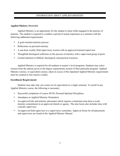# INFORMATION ABOUT APPLIED MINISTRY

# **Applied Ministry Overview**

Applied Ministry is an opportunity for the student to learn while engaged in the practice of ministry. The student is required to combine a period of actual experience as a minister with the following additional requirements:

- A goal-oriented ministry process
- Reflections on personal ministry
- A one-hour weekly field supervisory session with an approved minister/supervisor
- Thoughtful theological reflection on the process of ministry with a supervised group of peers
- Careful attention to biblical, theological, and practical resources

Applied Ministry is required for all students in master's level programs. Students may select courses from the options given in the degree requirements section of their particular program. Applied Ministry courses, or equivalent courses, taken in excess of the stipulated Applied Ministry requirements must be counted as free elective credits.

# **Enrollment Requirements**

Students may take only one course (or its equivalent) in a single semester. To enroll in any Applied Ministry course, the following is necessary:

- Successful completion of course 40150, Personal Spiritual Disciplines
- Attendance at Applied Ministry Orientation
- An approved title and ministry placement which requires a minimum nine-hour-a-week ministry commitment in an approved church or agency. The nine hours also includes time with a faculty supervisor.
- An approved field supervisor or a supervisory committee. Approval forms for all placements and supervisors are found in the Applied Ministry Manual.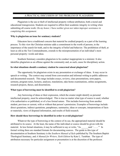## A PRACTICAL DISCUSSION OF THE PROBLEM OF PLAGIARISM

Plagiarism is the use or theft of intellectual property without attribution, both a moral and educational transgression. Students are required to affirm their academic integrity in writing when submitting all course work: *On my honor, I have neither given nor taken improper assistance in completing this assignment.*

#### **Why is plagiarism an issue for seminary students?**

Educators have a traditional concern that material be credited properly as a part of the learning process. To this view the Christian minister adds a commitment to the worth of persons, to the importance of the search for truth, and to the integrity of belief and behavior. The prohibition of theft, at least as old as the Ten Commandments, extends to the misrepresentation of an individual's most personal property: words and ideas.

Southern Seminary considers plagiarism to be conduct inappropriate to a minister. It also identifies plagiarism as an offense against the community and, as such, cause for disciplinary action.

#### **In what situations should a seminary student be concerned about plagiarism?**

The opportunity for plagiarism exists in any presentation or exchange of ideas. It may occur in speech or writing. The context may extend from conversation and informal writing to public addresses and documented research. This range includes essays, reviews, class presentations, term papers, sermons, program notes, lectures, analyses, translations, take-home examinations, online assignments, research projects, theses, and dissertations.

#### **What types of borrowing must be identified to avoid plagiarism?**

Any borrowing of ideas or their expression, which the creator might identify as personal intellectual property, must be acknowledged. This is true no matter what type of source is used, whether it be authoritative or published, or of a less formal nature. This includes borrowing from another student, previous or current, with or without that person's permission. Examples of borrowings include: direct qoutations, indirect quotations, paraphrases, summaries, ideas or concepts, interpretations of facts or materials, views of disputed information, and results of field research.

#### **How should these borrowings be identified in order to avoid plagiarism?**

Whatever the type of borrowing or the context of its use, the appropriated material should be attributed to its source. At the least, the name of the individual or source should be given with the material. In less formal situations, it may be sufficient to say or write, "As said '……'" In formal writing there are standard formats for documenting sources. The guide to this type of documentation at Southern Seminary is the *Southern Manual of Style* published by The Southern Baptist Theological Seminary, and *A Manual for Writers, Sixth Edition* by Kate L. Turabian. The type of attribution necessary for particular assignment or presentation is at the discretion of the professor.